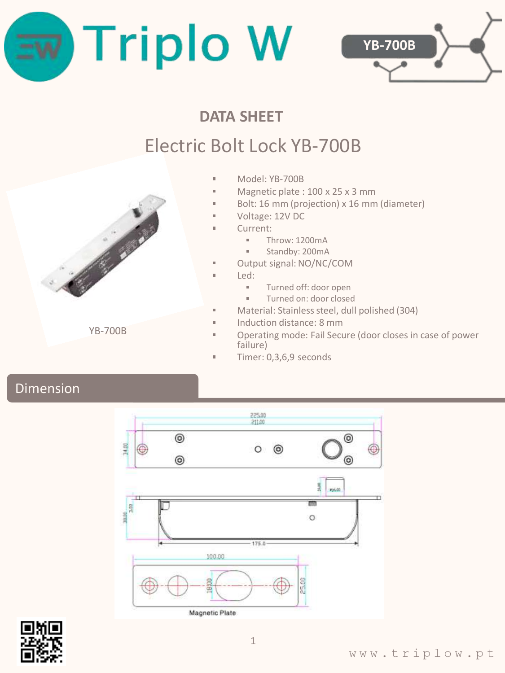



## **DATA SHEET**

# Electric Bolt Lock YB-700B

- Model: YB-700B  $\blacksquare$
- $\blacksquare$ Magnetic plate : 100 x 25 x 3 mm
- Bolt: 16 mm (projection) x 16 mm (diameter)  $\blacksquare$
- Voltage: 12V DC
- Current:
	- Throw: 1200mA Î.
	- Standby: 200mA
- Output signal: NO/NC/COM m.
- Led: m.

 $\blacksquare$ 

 $\blacksquare$ 

- à. Turned off: door open
- $\blacksquare$ Turned on: door closed
- Material: Stainless steel, dull polished (304)
- $\sim$ Induction distance: 8 mm
- Operating mode: Fail Secure (door closes in case of power failure)
- Timer: 0,3,6,9 seconds

## Dimension





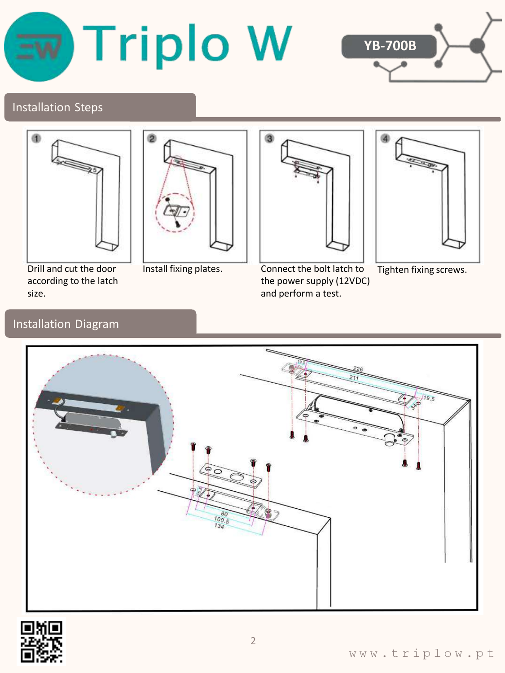



#### Installation Steps





Drill and cut the door according to the latch size.



Install fixing plates. Connect the bolt latch to the power supply (12VDC) and perform a test.



Tighten fixing screws.

#### Installation Diagram



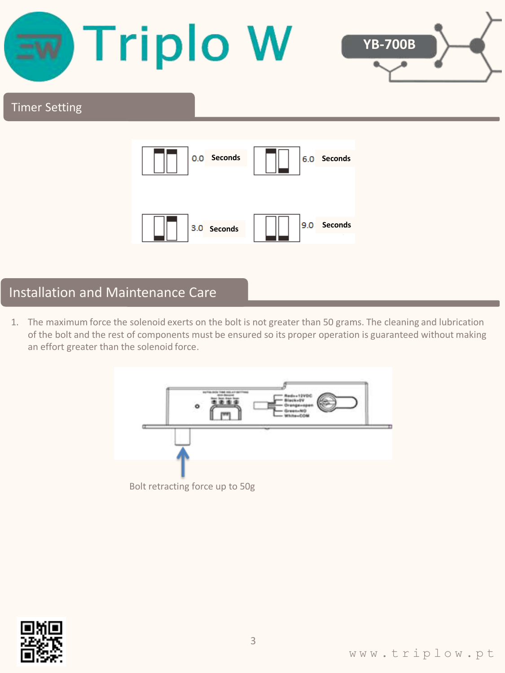

## Installation and Maintenance Care

1. The maximum force the solenoid exerts on the bolt is not greater than 50 grams. The cleaning and lubrication of the bolt and the rest of components must be ensured so its proper operation is guaranteed without making an effort greater than the solenoid force.



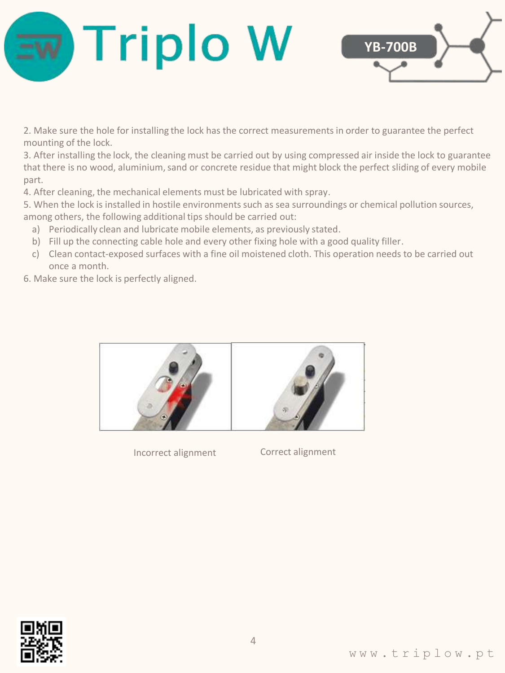



2. Make sure the hole for installing the lock has the correct measurements in order to guarantee the perfect mounting of the lock.

3. After installing the lock, the cleaning must be carried out by using compressed air inside the lock to guarantee that there is no wood, aluminium, sand or concrete residue that might block the perfect sliding of every mobile part.

4. After cleaning, the mechanical elements must be lubricated with spray.

5. When the lock is installed in hostile environments such as sea surroundings or chemical pollution sources, among others, the following additional tips should be carried out:

- a) Periodically clean and lubricate mobile elements, as previously stated.
- b) Fill up the connecting cable hole and every other fixing hole with a good quality filler.
- c) Clean contact-exposed surfaces with a fine oil moistened cloth. This operation needs to be carried out once a month.

6. Make sure the lock is perfectly aligned.



Incorrect alignment Correct alignment